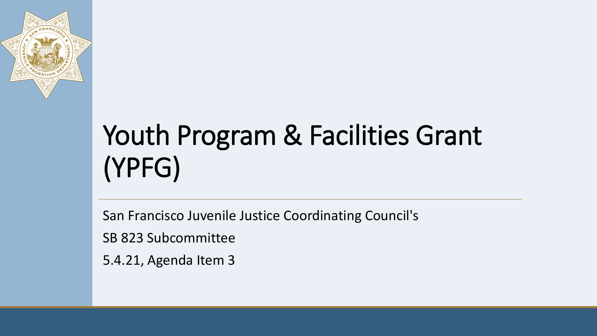

# Youth Program & Facilities Grant (YPFG)

San Francisco Juvenile Justice Coordinating Council's

SB 823 Subcommittee

5.4.21, Agenda Item 3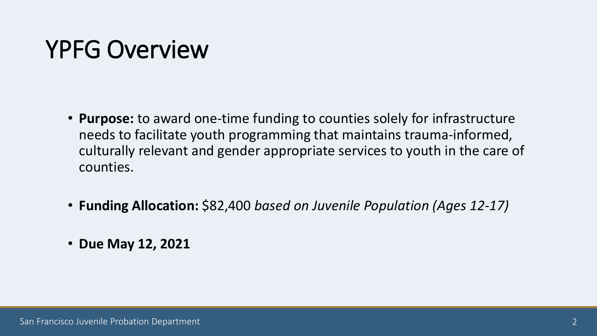## YPFG Overview

- **Purpose:** to award one-time funding to counties solely for infrastructure needs to facilitate youth programming that maintains trauma-informed, culturally relevant and gender appropriate services to youth in the care of counties.
- **Funding Allocation:** \$82,400 *based on Juvenile Population (Ages 12-17)*
- **Due May 12, 2021**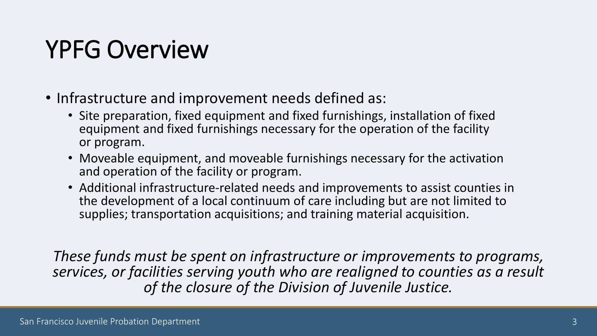# YPFG Overview

- Infrastructure and improvement needs defined as:
	- Site preparation, fixed equipment and fixed furnishings, installation of fixed equipment and fixed furnishings necessary for the operation of the facility or program.
	- Moveable equipment, and moveable furnishings necessary for the activation and operation of the facility or program.
	- Additional infrastructure-related needs and improvements to assist counties in the development of a local continuum of care including but are not limited to supplies; transportation acquisitions; and training material acquisition.

*These funds must be spent on infrastructure or improvements to programs, services, or facilities serving youth who are realigned to counties as a result of the closure of the Division of Juvenile Justice.*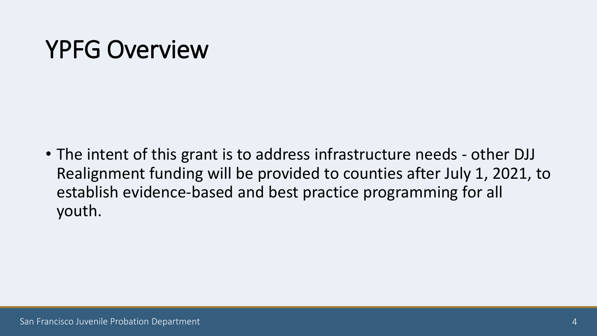## YPFG Overview

• The intent of this grant is to address infrastructure needs - other DJJ Realignment funding will be provided to counties after July 1, 2021, to establish evidence-based and best practice programming for all youth.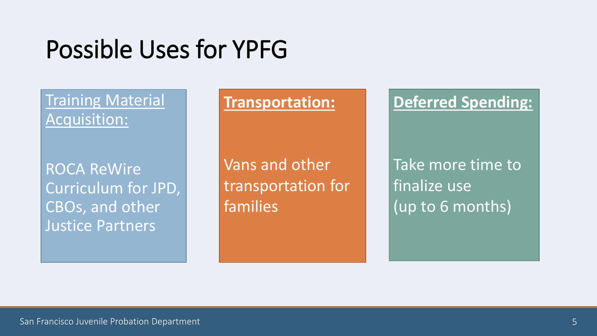## Possible Uses for YPFG

### Training Material Acquisition:

ROCA ReWire Curriculum for JPD, CBOs, and other Justice Partners

### **Transportation:**

Vans and other transportation for families

### **Deferred Spending:**

Take more time to finalize use (up to 6 months)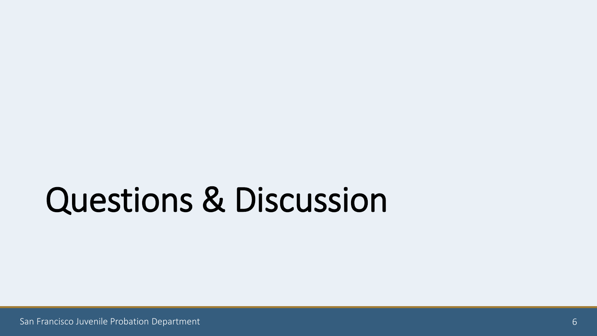# Questions & Discussion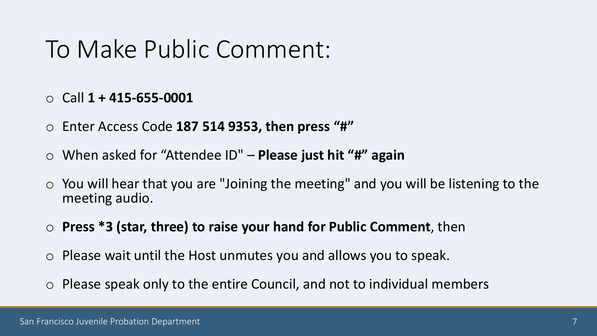### To Make Public Comment:

- o Call **1 + 415-655-0001**
- o Enter Access Code **187 514 9353, then press "#"**
- o When asked for "Attendee ID" **Please just hit "#" again**
- $\circ$  You will hear that you are "Joining the meeting" and you will be listening to the meeting audio.
- o **Press \*3 (star, three) to raise your hand for Public Comment**, then
- o Please wait until the Host unmutes you and allows you to speak.
- o Please speak only to the entire Council, and not to individual members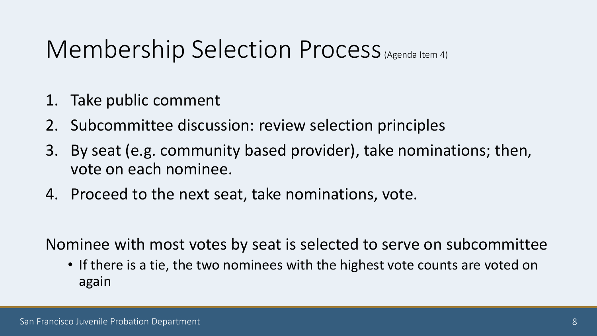## Membership Selection Process (Agenda Item 4)

- 1. Take public comment
- 2. Subcommittee discussion: review selection principles
- 3. By seat (e.g. community based provider), take nominations; then, vote on each nominee.
- 4. Proceed to the next seat, take nominations, vote.

Nominee with most votes by seat is selected to serve on subcommittee

• If there is a tie, the two nominees with the highest vote counts are voted on again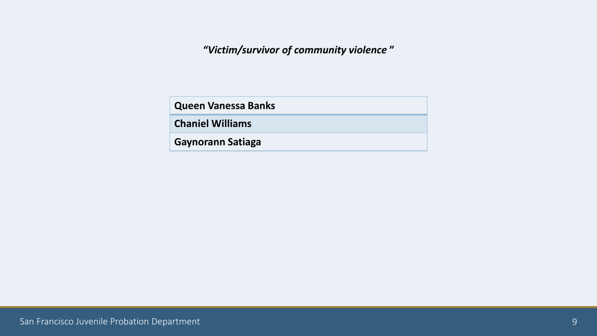*"Victim/survivor of community violence* **"**

**Queen Vanessa Banks**

**Chaniel Williams**

**Gaynorann Satiaga**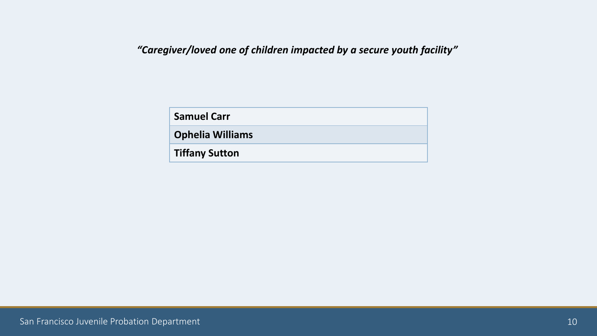#### *"Caregiver/loved one of children impacted by a secure youth facility"*

| <b>Samuel Carr</b>      |  |
|-------------------------|--|
| <b>Ophelia Williams</b> |  |
| <b>Tiffany Sutton</b>   |  |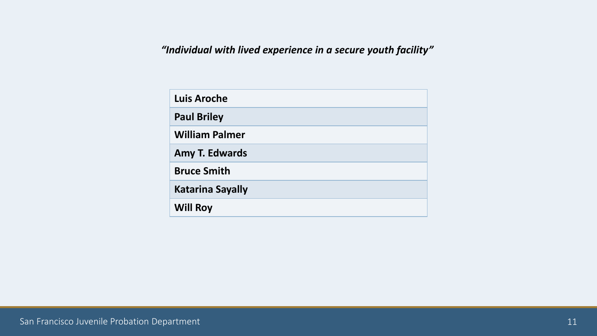*"Individual with lived experience in a secure youth facility"*

| <b>Luis Aroche</b>      |
|-------------------------|
| <b>Paul Briley</b>      |
| <b>William Palmer</b>   |
| <b>Amy T. Edwards</b>   |
| <b>Bruce Smith</b>      |
| <b>Katarina Sayally</b> |
| <b>Will Roy</b>         |